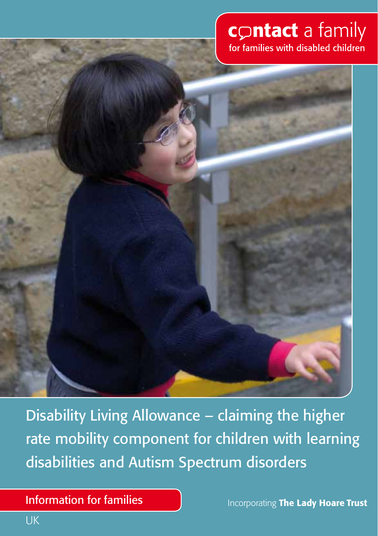# contact a family for families with disabled children



Disability Living Allowance – claiming the higher rate mobility component for children with learning disabilities and Autism Spectrum disorders

 $\blacksquare$  intermetion for returned the  $\blacksquare$ Information for families

Incorporating The Lady Hoare Trust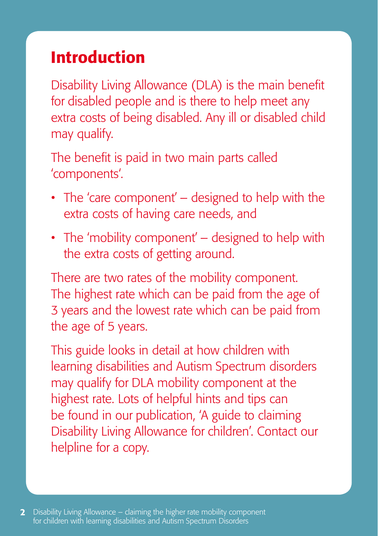# Introduction

Disability Living Allowance (DLA) is the main benefit for disabled people and is there to help meet any extra costs of being disabled. Any ill or disabled child may qualify.

The benefit is paid in two main parts called 'components'.

- The 'care component' designed to help with the extra costs of having care needs, and
- The 'mobility component' designed to help with the extra costs of getting around.

There are two rates of the mobility component. The highest rate which can be paid from the age of 3 years and the lowest rate which can be paid from the age of 5 years.

This guide looks in detail at how children with learning disabilities and Autism Spectrum disorders may qualify for DLA mobility component at the highest rate. Lots of helpful hints and tips can be found in our publication, 'A guide to claiming Disability Living Allowance for children'. Contact our helpline for a copy.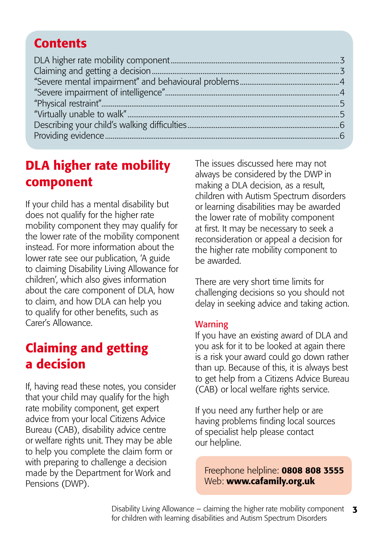#### <span id="page-2-0"></span>**Contents**

### DLA higher rate mobility component

If your child has a mental disability but does not qualify for the higher rate mobility component they may qualify for the lower rate of the mobility component instead. For more information about the lower rate see our publication, 'A guide to claiming Disability Living Allowance for children', which also gives information about the care component of DLA, how to claim, and how DLA can help you to qualify for other benefits, such as Carer's Allowance.

## Claiming and getting a decision

If, having read these notes, you consider that your child may qualify for the high rate mobility component, get expert advice from your local Citizens Advice Bureau (CAB), disability advice centre or welfare rights unit. They may be able to help you complete the claim form or with preparing to challenge a decision made by the Department for Work and Pensions (DWP).

The issues discussed here may not always be considered by the DWP in making a DLA decision, as a result, children with Autism Spectrum disorders or learning disabilities may be awarded the lower rate of mobility component at first. It may be necessary to seek a reconsideration or appeal a decision for the higher rate mobility component to be awarded.

There are very short time limits for challenging decisions so you should not delay in seeking advice and taking action.

#### **Warning**

If you have an existing award of DLA and you ask for it to be looked at again there is a risk your award could go down rather than up. Because of this, it is always best to get help from a Citizens Advice Bureau (CAB) or local welfare rights service.

If you need any further help or are having problems finding local sources of specialist help please contact our helpline.

Freephone helpline: 0808 808 3555 Web: [www.cafamily.org.u](http://www.cafamily.org.uk)k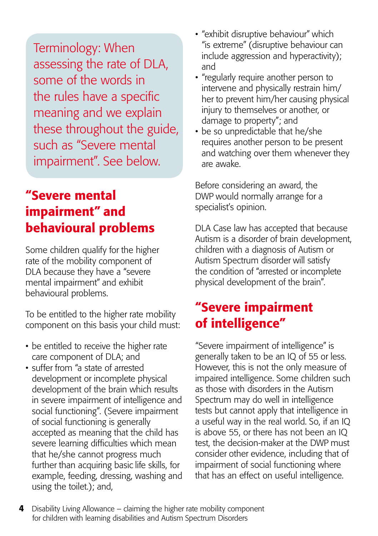<span id="page-3-0"></span>Terminology: When assessing the rate of DLA, some of the words in the rules have a specific meaning and we explain these throughout the guide, such as "Severe mental impairment". See below.

### "Severe mental impairment" and behavioural problems

Some children qualify for the higher rate of the mobility component of DLA because they have a "severe mental impairment" and exhibit behavioural problems.

To be entitled to the higher rate mobility component on this basis your child must:

- be entitled to receive the higher rate care component of DLA; and
- suffer from "a state of arrested development or incomplete physical development of the brain which results in severe impairment of intelligence and social functioning". (Severe impairment of social functioning is generally accepted as meaning that the child has severe learning difficulties which mean that he/she cannot progress much further than acquiring basic life skills, for example, feeding, dressing, washing and using the toilet.); and,
- "exhibit disruptive behaviour" which "is extreme" (disruptive behaviour can include aggression and hyperactivity); and
- "regularly require another person to intervene and physically restrain him/ her to prevent him/her causing physical injury to themselves or another, or damage to property"; and
- be so unpredictable that he/she requires another person to be present and watching over them whenever they are awake.

Before considering an award, the DWP would normally arrange for a specialist's opinion.

DLA Case law has accepted that because Autism is a disorder of brain development, children with a diagnosis of Autism or Autism Spectrum disorder will satisfy the condition of "arrested or incomplete physical development of the brain".

### "Severe impairment of intelligence"

"Severe impairment of intelligence" is generally taken to be an IQ of 55 or less. However, this is not the only measure of impaired intelligence. Some children such as those with disorders in the Autism Spectrum may do well in intelligence tests but cannot apply that intelligence in a useful way in the real world. So, if an IQ is above 55, or there has not been an IQ test, the decision-maker at the DWP must consider other evidence, including that of impairment of social functioning where that has an effect on useful intelligence.

[4](#page-2-0) [Disability Living Allowance – claiming the higher rate mobility component](#page-2-0) [for children with learning disabilities and Autism Spectrum Disorders](#page-2-0)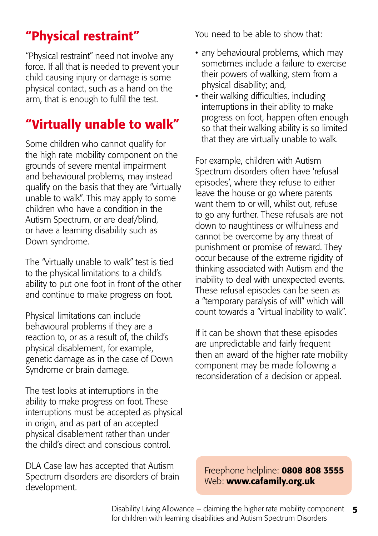## <span id="page-4-0"></span>"Physical restraint"

"Physical restraint" need not involve any force. If all that is needed to prevent your child causing injury or damage is some physical contact, such as a hand on the arm, that is enough to fulfil the test.

### "Virtually unable to walk"

Some children who cannot qualify for the high rate mobility component on the grounds of severe mental impairment and behavioural problems, may instead qualify on the basis that they are "virtually unable to walk". This may apply to some children who have a condition in the Autism Spectrum, or are deaf/blind, or have a learning disability such as Down syndrome.

The "virtually unable to walk" test is tied to the physical limitations to a child's ability to put one foot in front of the other and continue to make progress on foot.

Physical limitations can include behavioural problems if they are a reaction to, or as a result of, the child's physical disablement, for example, genetic damage as in the case of Down Syndrome or brain damage.

The test looks at interruptions in the ability to make progress on foot. These interruptions must be accepted as physical in origin, and as part of an accepted physical disablement rather than under the child's direct and conscious control.

DLA Case law has accepted that Autism Spectrum disorders are disorders of brain development.

You need to be able to show that:

- any behavioural problems, which may sometimes include a failure to exercise their powers of walking, stem from a physical disability; and,
- their walking difficulties, including interruptions in their ability to make progress on foot, happen often enough so that their walking ability is so limited that they are virtually unable to walk.

For example, children with Autism Spectrum disorders often have 'refusal episodes', where they refuse to either leave the house or go where parents want them to or will, whilst out, refuse to go any further. These refusals are not down to naughtiness or wilfulness and cannot be overcome by any threat of punishment or promise of reward. They occur because of the extreme rigidity of thinking associated with Autism and the inability to deal with unexpected events. These refusal episodes can be seen as a "temporary paralysis of will" which will count towards a "virtual inability to walk".

If it can be shown that these episodes are unpredictable and fairly frequent then an award of the higher rate mobility component may be made following a reconsideration of a decision or appeal.

Freephone helpline: 0808 808 3555 Web: [www.cafamily.org.u](http://www.cafamily.org.uk)k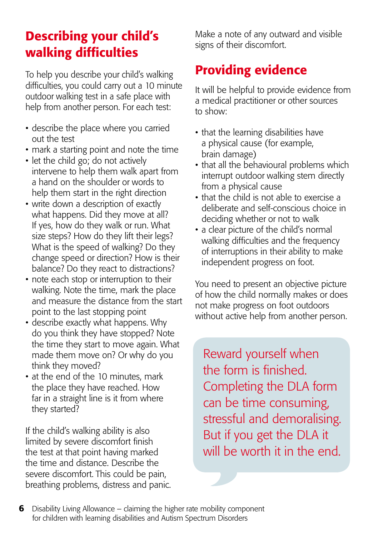### <span id="page-5-0"></span>Describing your child's walking difficulties

To help you describe your child's walking difficulties, you could carry out a 10 minute outdoor walking test in a safe place with help from another person. For each test:

- describe the place where you carried out the test
- mark a starting point and note the time
- let the child go; do not actively intervene to help them walk apart from a hand on the shoulder or words to help them start in the right direction
- write down a description of exactly what happens. Did they move at all? If yes, how do they walk or run. What size steps? How do they lift their legs? What is the speed of walking? Do they change speed or direction? How is their balance? Do they react to distractions?
- note each stop or interruption to their walking. Note the time, mark the place and measure the distance from the start point to the last stopping point
- describe exactly what happens. Why do you think they have stopped? Note the time they start to move again. What made them move on? Or why do you think they moved?
- at the end of the 10 minutes, mark the place they have reached. How far in a straight line is it from where they started?

If the child's walking ability is also limited by severe discomfort finish the test at that point having marked the time and distance. Describe the severe discomfort. This could be pain, breathing problems, distress and panic. Make a note of any outward and visible signs of their discomfort.

## Providing evidence

It will be helpful to provide evidence from a medical practitioner or other sources to show:

- that the learning disabilities have a physical cause (for example, brain damage)
- that all the behavioural problems which interrupt outdoor walking stem directly from a physical cause
- that the child is not able to exercise a deliberate and self-conscious choice in deciding whether or not to walk
- a clear picture of the child's normal walking difficulties and the frequency of interruptions in their ability to make independent progress on foot.

You need to present an objective picture of how the child normally makes or does not make progress on foot outdoors without active help from another person.

Reward yourself when the form is finished. Completing the DLA form can be time consuming, stressful and demoralising. But if you get the DLA it will be worth it in the end.

 [6](#page-2-0) [Disability Living Allowance – claiming the higher rate mobility component](#page-2-0) [for children with learning disabilities and Autism Spectrum Disorders](#page-2-0)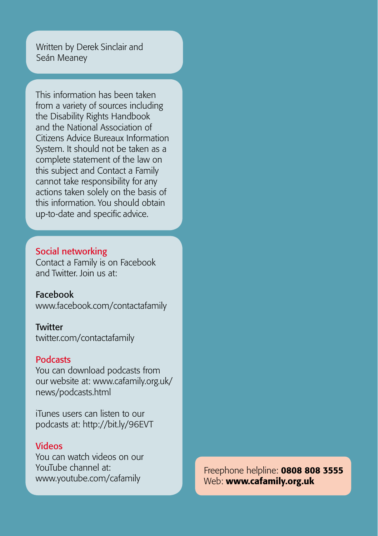Written by Derek Sinclair and Seán Meaney

This information has been taken from a variety of sources including the Disability Rights Handbook and the National Association of Citizens Advice Bureaux Information System. It should not be taken as a complete statement of the law on this subject and Contact a Family cannot take responsibility for any actions taken solely on the basis of this information. You should obtain up-to-date and specific advice.

#### Social networking

Contact a Family is on Facebook and Twitter. Join us at:

#### Facebook

[www.facebook.com](http://www.facebook.com/contactafamily)/contactafamily

#### **Twitter**

[twitter.com/contactafamily](http://twitter.com/contactafamily)

#### **Podcasts**

You can download podcasts from our website at: [www.cafamily.org.uk/](http://www.cafamily.org.uk/news/podcasts.html) [news/podcasts.html](http://www.cafamily.org.uk/news/podcasts.html)

iTunes users can listen to our podcasts at: <http://bit.ly/96EVT>

#### Videos

You can watch videos on our YouTube channel at: [www.youtube.com/cafamily](http://www.youtube.com/cafamily)

Freephone helpline: 0808 808 3555 Freephone helpline: 0808 808 3555 Web: [www.cafamily.org.u](http://www.cafamily.org.uk)k Web: [www.cafamily.org.uk](http://www.cafamily.org.uk)